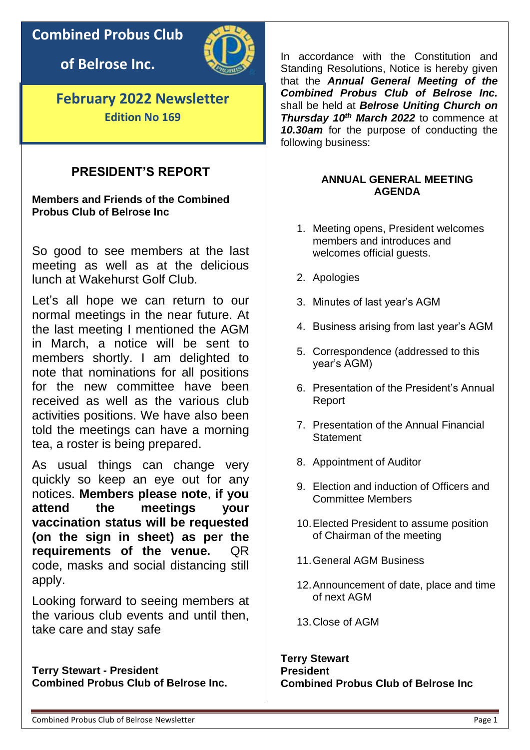## **Combined Probus Club**

**of Belrose Inc.**



**February 2022 Newsletter Edition No 169**

## **PRESIDENT'S REPORT**

**Members and Friends of the Combined Probus Club of Belrose Inc** 

So good to see members at the last meeting as well as at the delicious lunch at Wakehurst Golf Club.

Let's all hope we can return to our normal meetings in the near future. At the last meeting I mentioned the AGM in March, a notice will be sent to members shortly. I am delighted to note that nominations for all positions for the new committee have been received as well as the various club activities positions. We have also been told the meetings can have a morning tea, a roster is being prepared.

As usual things can change very quickly so keep an eye out for any notices. **Members please note**, **if you attend the meetings your vaccination status will be requested (on the sign in sheet) as per the requirements of the venue.** QR code, masks and social distancing still apply.

Looking forward to seeing members at the various club events and until then, take care and stay safe

**Terry Stewart - President Combined Probus Club of Belrose Inc.** In accordance with the Constitution and Standing Resolutions, Notice is hereby given that the *Annual General Meeting of the Combined Probus Club of Belrose Inc.* shall be held at *Belrose Uniting Church on Thursday 10th March 2022* to commence at *10.30am* for the purpose of conducting the following business:

#### **ANNUAL GENERAL MEETING AGENDA**

- 1. Meeting opens, President welcomes members and introduces and welcomes official quests.
- 2. Apologies
- 3. Minutes of last year's AGM
- 4. Business arising from last year's AGM
- 5. Correspondence (addressed to this year's AGM)
- 6. Presentation of the President's Annual Report
- 7. Presentation of the Annual Financial **Statement**
- 8. Appointment of Auditor
- 9. Election and induction of Officers and Committee Members
- 10.Elected President to assume position of Chairman of the meeting
- 11.General AGM Business
- 12.Announcement of date, place and time of next AGM
- 13.Close of AGM

**Terry Stewart President Combined Probus Club of Belrose Inc**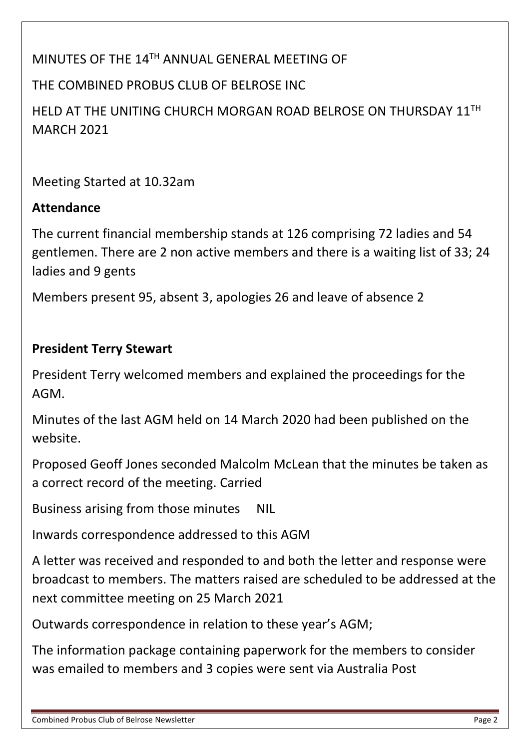## MINUTES OF THE 14TH ANNUAL GENERAL MEETING OF

## THE COMBINED PROBUS CLUB OF BELROSE INC

HELD AT THE UNITING CHURCH MORGAN ROAD BELROSE ON THURSDAY 11TH MARCH 2021

Meeting Started at 10.32am

## **Attendance**

The current financial membership stands at 126 comprising 72 ladies and 54 gentlemen. There are 2 non active members and there is a waiting list of 33; 24 ladies and 9 gents

Members present 95, absent 3, apologies 26 and leave of absence 2

## **President Terry Stewart**

President Terry welcomed members and explained the proceedings for the AGM.

Minutes of the last AGM held on 14 March 2020 had been published on the website.

Proposed Geoff Jones seconded Malcolm McLean that the minutes be taken as a correct record of the meeting. Carried

Business arising from those minutes NIL

Inwards correspondence addressed to this AGM

A letter was received and responded to and both the letter and response were broadcast to members. The matters raised are scheduled to be addressed at the next committee meeting on 25 March 2021

Outwards correspondence in relation to these year's AGM;

The information package containing paperwork for the members to consider was emailed to members and 3 copies were sent via Australia Post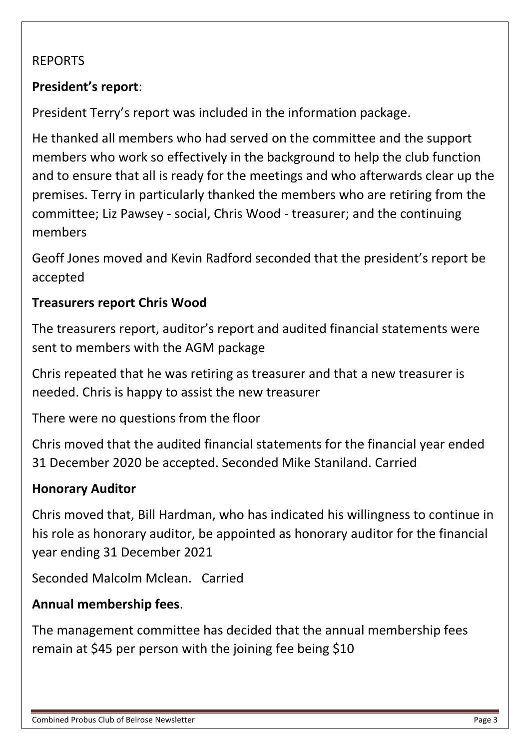## REPORTS

## **President's report**:

President Terry's report was included in the information package.

He thanked all members who had served on the committee and the support members who work so effectively in the background to help the club function and to ensure that all is ready for the meetings and who afterwards clear up the premises. Terry in particularly thanked the members who are retiring from the committee; Liz Pawsey - social, Chris Wood - treasurer; and the continuing members

Geoff Jones moved and Kevin Radford seconded that the president's report be accepted

## **Treasurers report Chris Wood**

The treasurers report, auditor's report and audited financial statements were sent to members with the AGM package

Chris repeated that he was retiring as treasurer and that a new treasurer is needed. Chris is happy to assist the new treasurer

There were no questions from the floor

Chris moved that the audited financial statements for the financial year ended 31 December 2020 be accepted. Seconded Mike Staniland. Carried

## **Honorary Auditor**

Chris moved that, Bill Hardman, who has indicated his willingness to continue in his role as honorary auditor, be appointed as honorary auditor for the financial year ending 31 December 2021

Seconded Malcolm Mclean. Carried

## **Annual membership fees**.

The management committee has decided that the annual membership fees remain at \$45 per person with the joining fee being \$10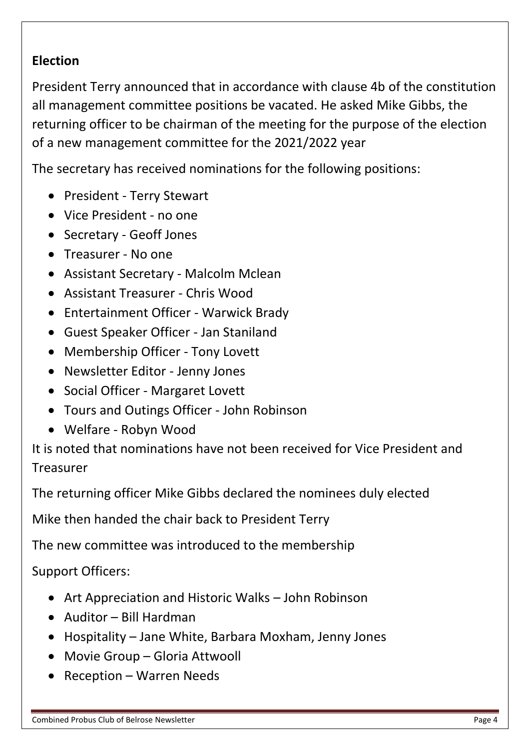## **Election**

President Terry announced that in accordance with clause 4b of the constitution all management committee positions be vacated. He asked Mike Gibbs, the returning officer to be chairman of the meeting for the purpose of the election of a new management committee for the 2021/2022 year

The secretary has received nominations for the following positions:

- President Terry Stewart
- Vice President no one
- Secretary Geoff Jones
- Treasurer No one
- Assistant Secretary Malcolm Mclean
- Assistant Treasurer Chris Wood
- Entertainment Officer Warwick Brady
- Guest Speaker Officer Jan Staniland
- Membership Officer Tony Lovett
- Newsletter Editor Jenny Jones
- Social Officer Margaret Lovett
- Tours and Outings Officer John Robinson
- Welfare Robyn Wood

It is noted that nominations have not been received for Vice President and Treasurer

The returning officer Mike Gibbs declared the nominees duly elected

Mike then handed the chair back to President Terry

The new committee was introduced to the membership

Support Officers:

- Art Appreciation and Historic Walks John Robinson
- Auditor Bill Hardman
- Hospitality Jane White, Barbara Moxham, Jenny Jones
- Movie Group Gloria Attwooll
- Reception Warren Needs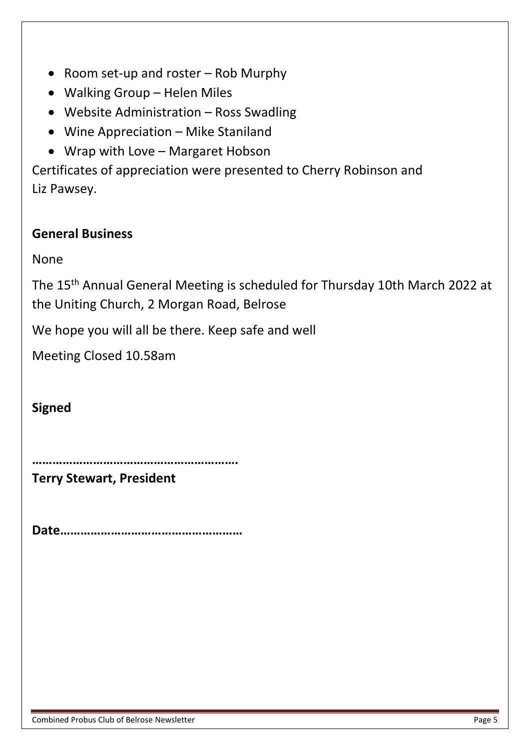- Room set-up and roster Rob Murphy
- Walking Group Helen Miles
- Website Administration Ross Swadling
- Wine Appreciation Mike Staniland
- Wrap with Love Margaret Hobson

Certificates of appreciation were presented to Cherry Robinson and Liz Pawsey.

## **General Business**

None

The 15th Annual General Meeting is scheduled for Thursday 10th March 2022 at the Uniting Church, 2 Morgan Road, Belrose

We hope you will all be there. Keep safe and well

Meeting Closed 10.58am

**Signed** 

**…………………………………………………….**

**Terry Stewart, President**

**Date………………………………………………**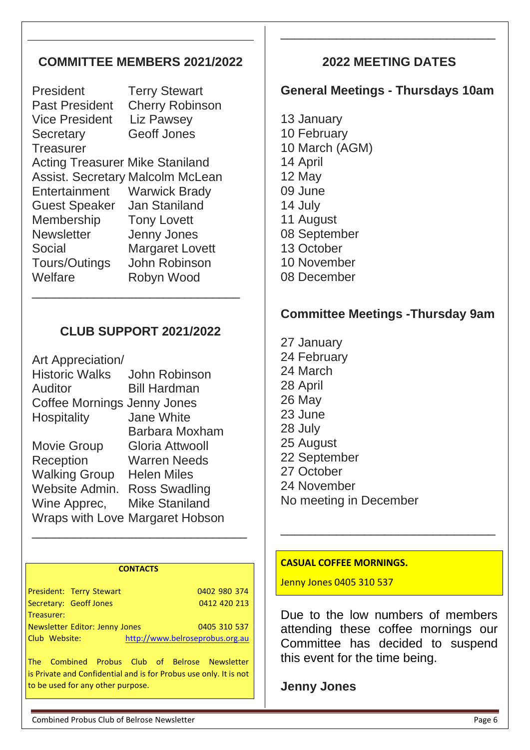## **COMMITTEE MEMBERS 2021/2022**

President Terry Stewart Past President Cherry Robinson Vice President Liz Pawsey Secretary Geoff Jones **Treasurer** Acting Treasurer Mike Staniland Assist. Secretary Malcolm McLean Entertainment Warwick Brady Guest Speaker Jan Staniland Membership Tony Lovett Newsletter Jenny Jones Social Margaret Lovett Tours/Outings John Robinson Welfare Robyn Wood \_\_\_\_\_\_\_\_\_\_\_\_\_\_\_\_\_\_\_\_\_\_\_\_\_\_\_\_\_\_

## **CLUB SUPPORT 2021/2022**

| Art Appreciation/           |                                 |  |  |
|-----------------------------|---------------------------------|--|--|
| <b>Historic Walks</b>       | John Robinson                   |  |  |
| Auditor                     | <b>Bill Hardman</b>             |  |  |
| Coffee Mornings Jenny Jones |                                 |  |  |
| <b>Hospitality</b>          | <b>Jane White</b>               |  |  |
|                             | Barbara Moxham                  |  |  |
| <b>Movie Group</b>          | Gloria Attwooll                 |  |  |
| Reception                   | Warren Needs                    |  |  |
| <b>Walking Group</b>        | <b>Helen Miles</b>              |  |  |
| Website Admin.              | <b>Ross Swadling</b>            |  |  |
| Wine Apprec,                | <b>Mike Staniland</b>           |  |  |
|                             | Wraps with Love Margaret Hobson |  |  |

#### **CONTACTS**

\_\_\_\_\_\_\_\_\_\_\_\_\_\_\_\_\_\_\_\_\_\_\_\_\_\_\_\_\_\_\_

|               | President: Terry Stewart       |                                 | 0402 980 374 |
|---------------|--------------------------------|---------------------------------|--------------|
|               | Secretary: Geoff Jones         |                                 | 0412 420 213 |
| Treasurer:    |                                |                                 |              |
|               | Newsletter Editor: Jenny Jones |                                 | 0405 310 537 |
| Club Website: |                                | http://www.belroseprobus.org.au |              |
|               |                                |                                 |              |

The Combined Probus Club of Belrose Newsletter is Private and Confidential and is for Probus use only. It is not to be used for any other purpose.

## **2022 MEETING DATES**

\_\_\_\_\_\_\_\_\_\_\_\_\_\_\_\_\_\_\_\_\_\_\_\_\_\_\_\_\_\_\_

## **General Meetings - Thursdays 10am**

13 January 10 February 10 March (AGM) 14 April 12 May 09 June 14 July 11 August 08 September 13 October 10 November 08 December

## **Committee Meetings -Thursday 9am**

27 January 24 February 24 March 28 April 26 May 23 June 28 July 25 August 22 September 27 October 24 November No meeting in December

#### **CASUAL COFFEE MORNINGS.**

Jenny Jones 0405 310 537

Due to the low numbers of members attending these coffee mornings our Committee has decided to suspend this event for the time being.

\_\_\_\_\_\_\_\_\_\_\_\_\_\_\_\_\_\_\_\_\_\_\_\_\_\_\_\_\_\_\_

**Jenny Jones**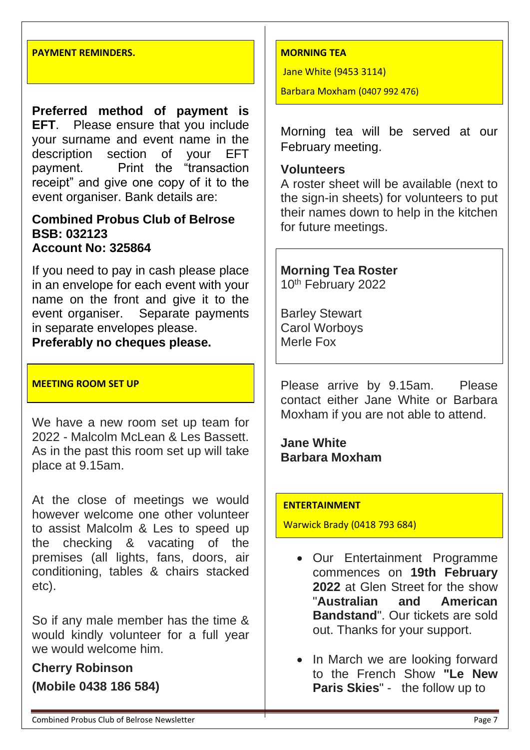#### **PAYMENT REMINDERS.**

**Preferred method of payment is EFT**. Please ensure that you include your surname and event name in the description section of your EFT payment. Print the "transaction receipt" and give one copy of it to the event organiser. Bank details are:

#### **Combined Probus Club of Belrose BSB: 032123 Account No: 325864**

If you need to pay in cash please place in an envelope for each event with your name on the front and give it to the event organiser. Separate payments in separate envelopes please.

**Preferably no cheques please.**

#### **MEETING ROOM SET UP**

We have a new room set up team for 2022 - Malcolm McLean & Les Bassett. As in the past this room set up will take place at 9.15am.

At the close of meetings we would however welcome one other volunteer to assist Malcolm & Les to speed up the checking & vacating of the premises (all lights, fans, doors, air conditioning, tables & chairs stacked etc).

So if any male member has the time & would kindly volunteer for a full year we would welcome him.

# **Cherry Robinson**

**(Mobile 0438 186 584)**

#### **MORNING TEA**

Jane White (9453 3114)

Barbara Moxham (0407 992 476)

Morning tea will be served at our February meeting.

#### **Volunteers**

A roster sheet will be available (next to the sign-in sheets) for volunteers to put their names down to help in the kitchen for future meetings.

**Morning Tea Roster**  10th February 2022

Barley Stewart Carol Worboys Merle Fox

Please arrive by 9.15am. Please contact either Jane White or Barbara Moxham if you are not able to attend.

**Jane White Barbara Moxham**

#### **ENTERTAINMENT**

Warwick Brady (0418 793 684)

- Our Entertainment Programme commences on **19th February 2022** at Glen Street for the show "**Australian and American Bandstand**". Our tickets are sold out. Thanks for your support.
- In March we are looking forward to the French Show **"Le New Paris Skies**" - the follow up to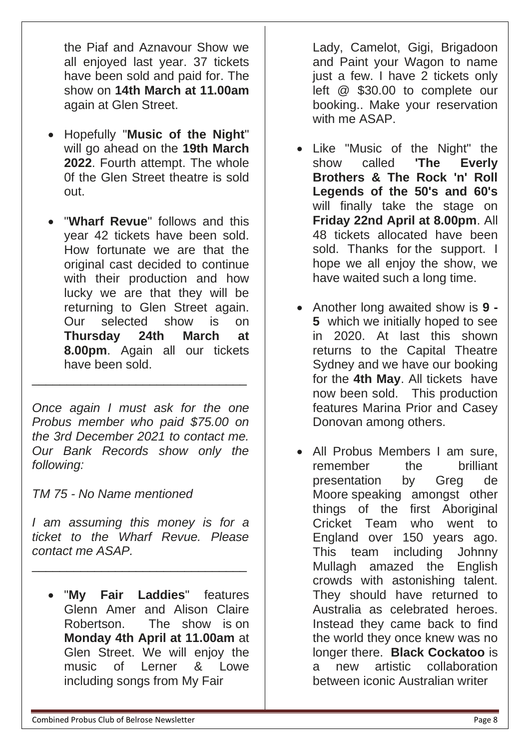the Piaf and Aznavour Show we all enjoyed last year. 37 tickets have been sold and paid for. The show on **14th March at 11.00am** again at Glen Street.

- Hopefully "**Music of the Night**" will go ahead on the **19th March 2022**. Fourth attempt. The whole 0f the Glen Street theatre is sold out.
- "**Wharf Revue**" follows and this year 42 tickets have been sold. How fortunate we are that the original cast decided to continue with their production and how lucky we are that they will be returning to Glen Street again. Our selected show is on **Thursday 24th March at 8.00pm**. Again all our tickets have been sold.

*Once again I must ask for the one Probus member who paid \$75.00 on the 3rd December 2021 to contact me. Our Bank Records show only the following:* 

\_\_\_\_\_\_\_\_\_\_\_\_\_\_\_\_\_\_\_\_\_\_\_\_\_\_\_\_\_\_\_

*TM 75 - No Name mentioned*

*I am assuming this money is for a ticket to the Wharf Revue. Please contact me ASAP.*

\_\_\_\_\_\_\_\_\_\_\_\_\_\_\_\_\_\_\_\_\_\_\_\_\_\_\_\_\_\_\_

• "**My Fair Laddies**" features Glenn Amer and Alison Claire Robertson. The show is on **Monday 4th April at 11.00am** at Glen Street. We will enjoy the music of Lerner & Lowe including songs from My Fair

Lady, Camelot, Gigi, Brigadoon and Paint your Wagon to name just a few. I have 2 tickets only left @ \$30.00 to complete our booking.. Make your reservation with me ASAP.

- Like "Music of the Night" the show called **'The Everly Brothers & The Rock 'n' Roll Legends of the 50's and 60's** will finally take the stage on **Friday 22nd April at 8.00pm**. All 48 tickets allocated have been sold. Thanks for the support. I hope we all enjoy the show, we have waited such a long time.
- Another long awaited show is **9 - 5** which we initially hoped to see in 2020. At last this shown returns to the Capital Theatre Sydney and we have our booking for the **4th May**. All tickets have now been sold. This production features Marina Prior and Casey Donovan among others.
- All Probus Members I am sure, remember the brilliant presentation by Greg de Moore speaking amongst other things of the first Aboriginal Cricket Team who went to England over 150 years ago. This team including Johnny Mullagh amazed the English crowds with astonishing talent. They should have returned to Australia as celebrated heroes. Instead they came back to find the world they once knew was no longer there. **Black Cockatoo** is a new artistic collaboration between iconic Australian writer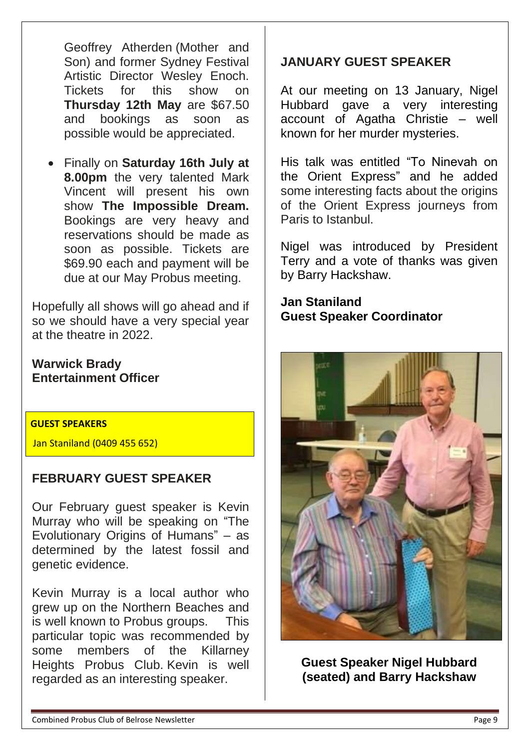Geoffrey Atherden (Mother and Son) and former Sydney Festival Artistic Director Wesley Enoch. Tickets for this show on **Thursday 12th May** are \$67.50 and bookings as soon as possible would be appreciated.

• Finally on **Saturday 16th July at 8.00pm** the very talented Mark Vincent will present his own show **The Impossible Dream.** Bookings are very heavy and reservations should be made as soon as possible. Tickets are \$69.90 each and payment will be due at our May Probus meeting.

Hopefully all shows will go ahead and if so we should have a very special year at the theatre in 2022.

## **Warwick Brady Entertainment Officer**

#### **GUEST SPEAKERS**

Jan Staniland (0409 455 652)

## **FEBRUARY GUEST SPEAKER**

Our February guest speaker is Kevin Murray who will be speaking on "The Evolutionary Origins of Humans" – as determined by the latest fossil and genetic evidence.

Kevin Murray is a local author who grew up on the Northern Beaches and is well known to Probus groups. This particular topic was recommended by some members of the Killarney Heights Probus Club. Kevin is well regarded as an interesting speaker.

## **JANUARY GUEST SPEAKER**

At our meeting on 13 January, Nigel Hubbard gave a very interesting account of Agatha Christie – well known for her murder mysteries.

His talk was entitled "To Ninevah on the Orient Express" and he added some interesting facts about the origins of the Orient Express journeys from Paris to Istanbul.

Nigel was introduced by President Terry and a vote of thanks was given by Barry Hackshaw.

**Jan Staniland Guest Speaker Coordinator**



**Guest Speaker Nigel Hubbard (seated) and Barry Hackshaw**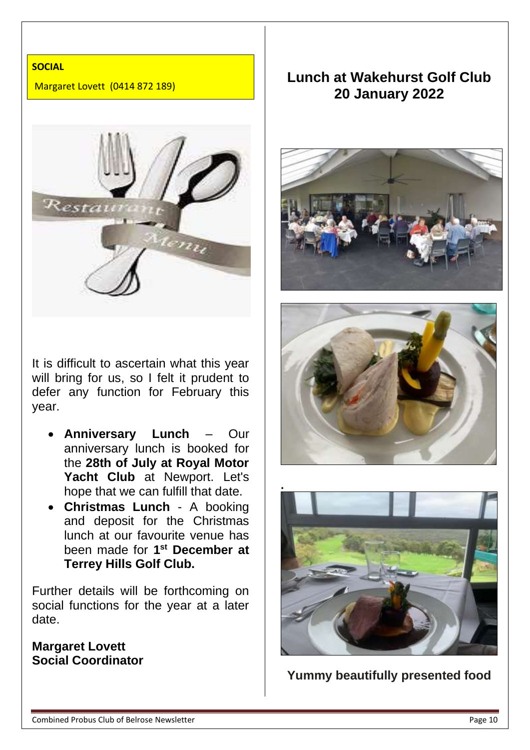#### **SOCIAL**

Margaret Lovett (0414 872 189)



It is difficult to ascertain what this year will bring for us, so I felt it prudent to defer any function for February this year.

- **Anniversary Lunch** Our anniversary lunch is booked for the **28th of July at Royal Motor Yacht Club** at Newport. Let's hope that we can fulfill that date.
- **Christmas Lunch** A booking and deposit for the Christmas lunch at our favourite venue has been made for **1 st December at Terrey Hills Golf Club.**

Further details will be forthcoming on social functions for the year at a later date.

## **Margaret Lovett Social Coordinator**

## **Lunch at Wakehurst Golf Club 20 January 2022**







**Yummy beautifully presented food**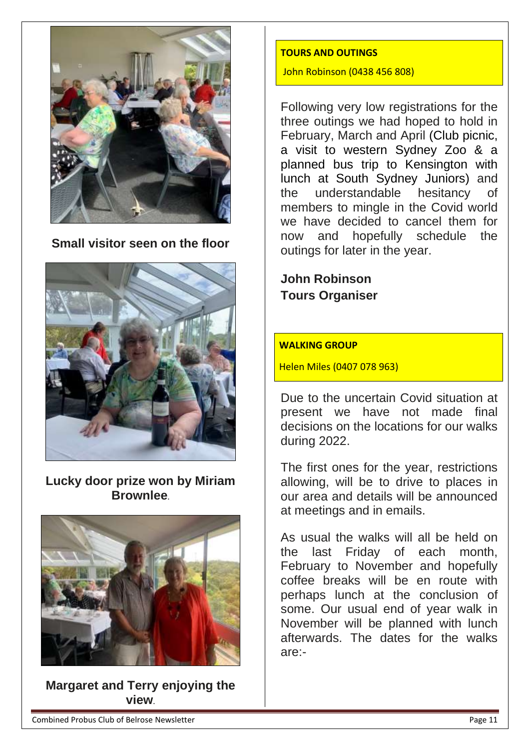

**Small visitor seen on the floor**



**Lucky door prize won by Miriam Brownlee**.



**Margaret and Terry enjoying the view**.

#### **TOURS AND OUTINGS**

John Robinson (0438 456 808)

Following very low registrations for the three outings we had hoped to hold in February, March and April (Club picnic, a visit to western Sydney Zoo & a planned bus trip to Kensington with lunch at South Sydney Juniors) and the understandable hesitancy members to mingle in the Covid world we have decided to cancel them for now and hopefully schedule the outings for later in the year.

**John Robinson Tours Organiser**

#### **WALKING GROUP**

Helen Miles (0407 078 963)

Due to the uncertain Covid situation at present we have not made final decisions on the locations for our walks during 2022.

The first ones for the year, restrictions allowing, will be to drive to places in our area and details will be announced at meetings and in emails.

As usual the walks will all be held on the last Friday of each month, February to November and hopefully coffee breaks will be en route with perhaps lunch at the conclusion of some. Our usual end of year walk in November will be planned with lunch afterwards. The dates for the walks are:-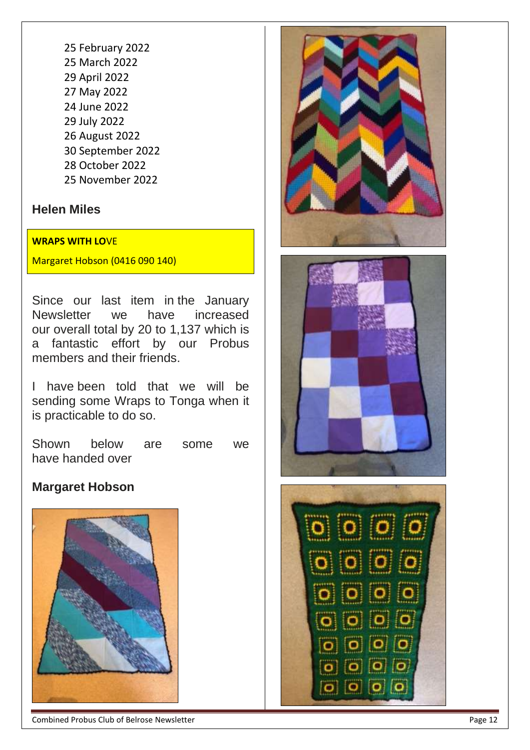## **Helen Miles**

#### **WRAPS WITH LO**VE

Margaret Hobson (0416 090 140)

Since our last item in the January Newsletter we have increased our overall total by 20 to 1,137 which is a fantastic effort by our Probus members and their friends.

I have been told that we will be sending some Wraps to Tonga when it is practicable to do so.

Shown below are some we have handed over

## **Margaret Hobson**